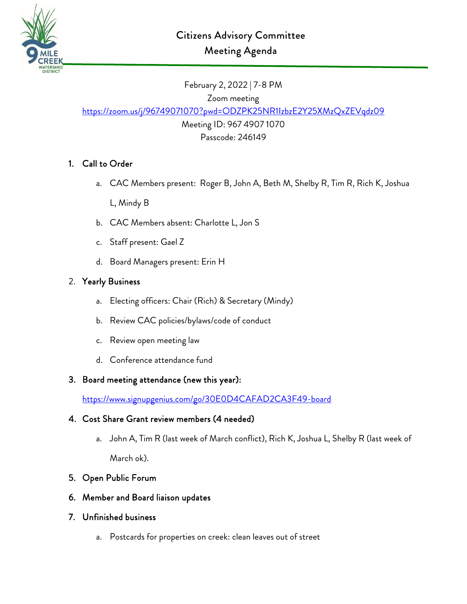

February 2, 2022 | 7-8 PM Zoom meeting <https://zoom.us/j/96749071070?pwd=ODZPK25NR1IzbzE2Y25XMzQxZEVqdz09> Meeting ID: 967 4907 1070

Passcode: 246149

## 1. Call to Order

- a. CAC Members present: Roger B, John A, Beth M, Shelby R, Tim R, Rich K, Joshua L, Mindy B
- b. CAC Members absent: Charlotte L, Jon S
- c. Staff present: Gael Z
- d. Board Managers present: Erin H

### 2. Yearly Business

- a. Electing officers: Chair (Rich) & Secretary (Mindy)
- b. Review CAC policies/bylaws/code of conduct
- c. Review open meeting law
- d. Conference attendance fund

### 3. Board meeting attendance (new this year):

<https://www.signupgenius.com/go/30E0D4CAFAD2CA3F49-board>

### 4. Cost Share Grant review members (4 needed)

a. John A, Tim R (last week of March conflict), Rich K, Joshua L, Shelby R (last week of March ok).

### 5. Open Public Forum

- 6. Member and Board liaison updates
- 7. Unfinished business
	- a. Postcards for properties on creek: clean leaves out of street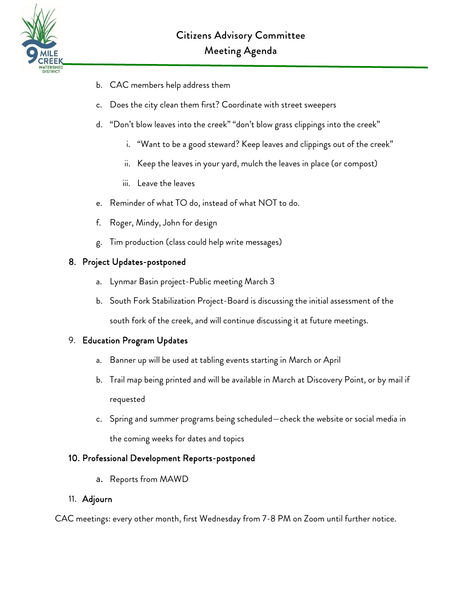

- b. CAC members help address them
- c. Does the city clean them first? Coordinate with street sweepers
- d. "Don't blow leaves into the creek" "don't blow grass clippings into the creek"
	- i. "Want to be a good steward? Keep leaves and clippings out of the creek"
	- ii. Keep the leaves in your yard, mulch the leaves in place (or compost)
	- iii. Leave the leaves
- e. Reminder of what TO do, instead of what NOT to do.
- f. Roger, Mindy, John for design
- g. Tim production (class could help write messages)

### 8. Project Updates-postponed

- a. Lynmar Basin project-Public meeting March 3
- b. South Fork Stabilization Project-Board is discussing the initial assessment of the south fork of the creek, and will continue discussing it at future meetings.

### 9. Education Program Updates

- a. Banner up will be used at tabling events starting in March or April
- b. Trail map being printed and will be available in March at Discovery Point, or by mail if requested
- c. Spring and summer programs being scheduled—check the website or social media in the coming weeks for dates and topics

### 10. Professional Development Reports-postponed

a. Reports from MAWD

#### 11. Adjourn

CAC meetings: every other month, first Wednesday from 7-8 PM on Zoom until further notice.